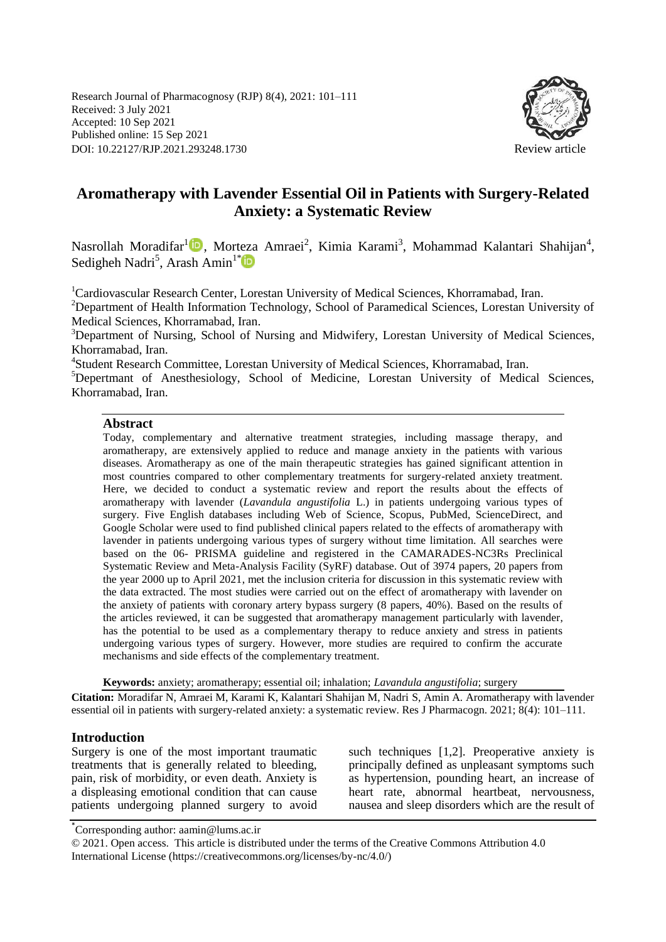Research Journal of Pharmacognosy (RJP) 8(4), 2021: 101–111 Received: 3 July 2021 Accepted: 10 Sep 2021 Published online: 15 Sep 2021 DOI: 10.22127/RJP.2021.293248.1730 Review article



# **Aromatherapy with Lavender Essential Oil in Patients with Surgery-Related Anxiety: a Systematic Review**

Nasrollah Moradifar<sup>1</sup><sup>1</sup>, Morteza Amraei<sup>2</sup>, Kimia Karami<sup>3</sup>, Mohammad Kalantari Shahijan<sup>4</sup>, Sedigheh Nadri<sup>5</sup>, Arash Amin<sup>1\*</sup>

<sup>1</sup>Cardiovascular Research Center, Lorestan University of Medical Sciences, Khorramabad, Iran.

<sup>2</sup>Department of Health Information Technology, School of Paramedical Sciences, Lorestan University of Medical Sciences, Khorramabad, Iran.

<sup>3</sup>Department of Nursing, School of Nursing and Midwifery, Lorestan University of Medical Sciences, Khorramabad, Iran.

4 Student Research Committee, Lorestan University of Medical Sciences, Khorramabad, Iran.

<sup>5</sup>Depertmant of Anesthesiology, School of Medicine, Lorestan University of Medical Sciences, Khorramabad, Iran.

#### **Abstract**

Today, complementary and alternative treatment strategies, including massage therapy, and aromatherapy, are extensively applied to reduce and manage anxiety in the patients with various diseases. Aromatherapy as one of the main therapeutic strategies has gained significant attention in most countries compared to other complementary treatments for surgery-related anxiety treatment. Here, we decided to conduct a systematic review and report the results about the effects of aromatherapy with lavender (*Lavandula angustifolia* L.) in patients undergoing various types of surgery. Five English databases including Web of Science, Scopus, PubMed, ScienceDirect, and Google Scholar were used to find published clinical papers related to the effects of aromatherapy with lavender in patients undergoing various types of surgery without time limitation. All searches were based on the 06- PRISMA guideline and registered in the CAMARADES-NC3Rs Preclinical Systematic Review and Meta-Analysis Facility (SyRF) database. Out of 3974 papers, 20 papers from the year 2000 up to April 2021, met the inclusion criteria for discussion in this systematic review with the data extracted. The most studies were carried out on the effect of aromatherapy with lavender on the anxiety of patients with coronary artery bypass surgery (8 papers, 40%). Based on the results of the articles reviewed, it can be suggested that aromatherapy management particularly with lavender, has the potential to be used as a complementary therapy to reduce anxiety and stress in patients undergoing various types of surgery. However, more studies are required to confirm the accurate mechanisms and side effects of the complementary treatment.

**Keywords:** anxiety; aromatherapy; essential oil; inhalation; *Lavandula angustifolia*; surgery

**Citation:** Moradifar N, Amraei M, Karami K, Kalantari Shahijan M, Nadri S, Amin A. Aromatherapy with lavender essential oil in patients with surgery-related anxiety: a systematic review. Res J Pharmacogn. 2021; 8(4): 101–111.

#### **Introduction**

Surgery is one of the most important traumatic treatments that is generally related to bleeding, pain, risk of morbidity, or even death. Anxiety is a displeasing emotional condition that can cause patients undergoing planned surgery to avoid such techniques [1,2]. Preoperative anxiety is principally defined as unpleasant symptoms such as hypertension, pounding heart, an increase of heart rate, abnormal heartbeat, nervousness, nausea and sleep disorders which are the result of

<sup>\*</sup> Corresponding author: aamin@lums.ac.ir

<sup>© 2021.</sup> Open access. This article is distributed under the terms of the Creative Commons Attribution 4.0 International License (https://creativecommons.org/licenses/by-nc/4.0/)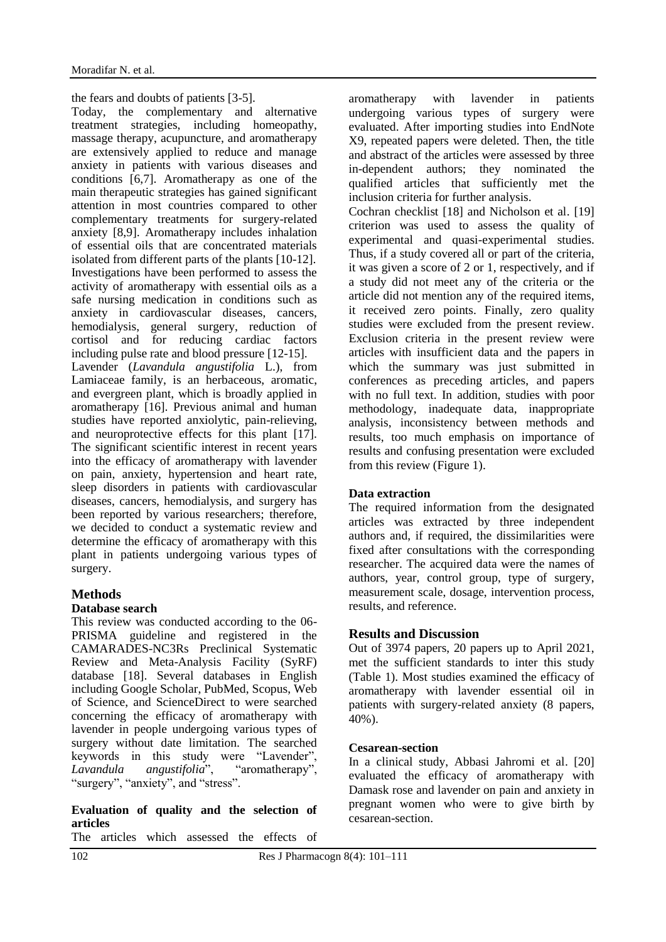the fears and doubts of patients [3-5].

Today, the complementary and alternative treatment strategies, including homeopathy, massage therapy, acupuncture, and aromatherapy are extensively applied to reduce and manage anxiety in patients with various diseases and conditions [6,7]. Aromatherapy as one of the main therapeutic strategies has gained significant attention in most countries compared to other complementary treatments for surgery-related anxiety [8,9]. Aromatherapy includes inhalation of essential oils that are concentrated materials isolated from different parts of the plants [10-12]. Investigations have been performed to assess the activity of aromatherapy with essential oils as a safe nursing medication in conditions such as anxiety in cardiovascular diseases, cancers, hemodialysis, general surgery, reduction of cortisol and for reducing cardiac factors including pulse rate and blood pressure [12-15]. Lavender (*Lavandula angustifolia* L.), from Lamiaceae family, is an herbaceous, aromatic,

and evergreen plant, which is broadly applied in aromatherapy [16]. Previous animal and human studies have reported anxiolytic, pain-relieving, and neuroprotective effects for this plant [17]. The significant scientific interest in recent years into the efficacy of aromatherapy with lavender on pain, anxiety, hypertension and heart rate, sleep disorders in patients with cardiovascular diseases, cancers, hemodialysis, and surgery has been reported by various researchers; therefore, we decided to conduct a systematic review and determine the efficacy of aromatherapy with this plant in patients undergoing various types of surgery.

#### **Methods**

#### **Database search**

This review was conducted according to the 06- PRISMA guideline and registered in the CAMARADES-NC3Rs Preclinical Systematic Review and Meta-Analysis Facility (SyRF) database [18]. Several databases in English including Google Scholar, PubMed, Scopus, Web of Science, and ScienceDirect to were searched concerning the efficacy of aromatherapy with lavender in people undergoing various types of surgery without date limitation. The searched keywords in this study were "Lavender", *Lavandula angustifolia*", "aromatherapy", "surgery", "anxiety", and "stress".

## **Evaluation of quality and the selection of articles**

The articles which assessed the effects of

aromatherapy with lavender in patients undergoing various types of surgery were evaluated. After importing studies into EndNote X9, repeated papers were deleted. Then, the title and abstract of the articles were assessed by three in-dependent authors; they nominated the qualified articles that sufficiently met the inclusion criteria for further analysis. Cochran checklist [18] and Nicholson et al. [19] criterion was used to assess the quality of experimental and quasi-experimental studies. Thus, if a study covered all or part of the criteria, it was given a score of 2 or 1, respectively, and if a study did not meet any of the criteria or the article did not mention any of the required items, it received zero points. Finally, zero quality studies were excluded from the present review. Exclusion criteria in the present review were articles with insufficient data and the papers in which the summary was just submitted in

conferences as preceding articles, and papers with no full text. In addition, studies with poor methodology, inadequate data, inappropriate analysis, inconsistency between methods and results, too much emphasis on importance of results and confusing presentation were excluded from this review (Figure 1).

#### **Data extraction**

The required information from the designated articles was extracted by three independent authors and, if required, the dissimilarities were fixed after consultations with the corresponding researcher. The acquired data were the names of authors, year, control group, type of surgery, measurement scale, dosage, intervention process, results, and reference.

#### **Results and Discussion**

Out of 3974 papers, 20 papers up to April 2021, met the sufficient standards to inter this study (Table 1). Most studies examined the efficacy of aromatherapy with lavender essential oil in patients with surgery-related anxiety (8 papers, 40%).

#### **Cesarean-section**

In a clinical study, Abbasi Jahromi et al. [20] evaluated the efficacy of aromatherapy with Damask rose and lavender on pain and anxiety in pregnant women who were to give birth by cesarean-section.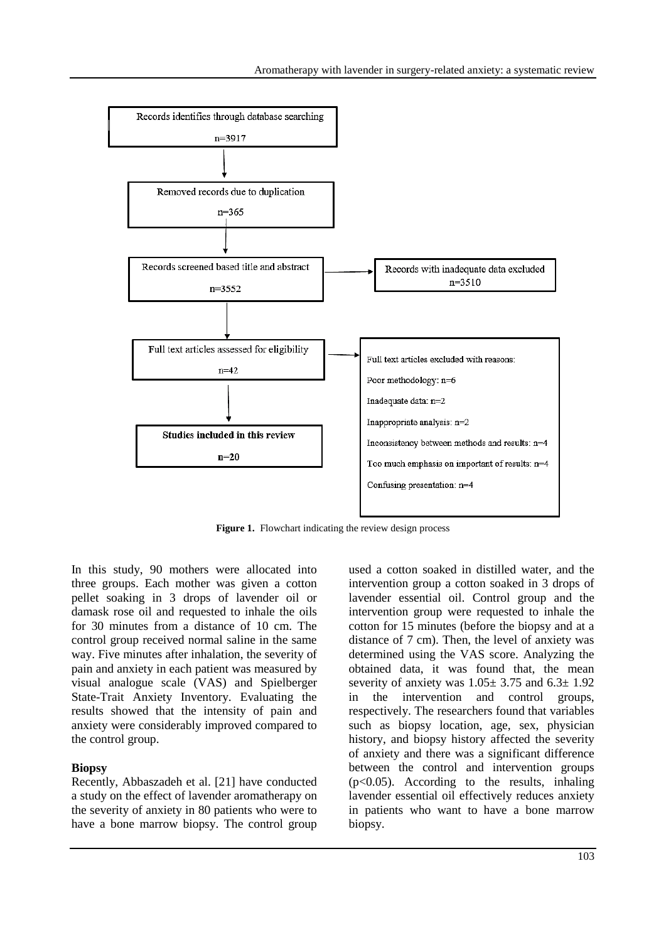

Figure 1. Flowchart indicating the review design process

In this study, 90 mothers were allocated into three groups. Each mother was given a cotton pellet soaking in 3 drops of lavender oil or damask rose oil and requested to inhale the oils for 30 minutes from a distance of 10 cm. The control group received normal saline in the same way. Five minutes after inhalation, the severity of pain and anxiety in each patient was measured by visual analogue scale (VAS) and Spielberger State-Trait Anxiety Inventory. Evaluating the results showed that the intensity of pain and anxiety were considerably improved compared to the control group.

#### **Biopsy**

Recently, Abbaszadeh et al. [21] have conducted a study on the effect of lavender aromatherapy on the severity of anxiety in 80 patients who were to have a bone marrow biopsy. The control group used a cotton soaked in distilled water, and the intervention group a cotton soaked in 3 drops of lavender essential oil. Control group and the intervention group were requested to inhale the cotton for 15 minutes (before the biopsy and at a distance of 7 cm). Then, the level of anxiety was determined using the VAS score. Analyzing the obtained data, it was found that, the mean severity of anxiety was  $1.05 \pm 3.75$  and  $6.3 \pm 1.92$ in the intervention and control groups, respectively. The researchers found that variables such as biopsy location, age, sex, physician history, and biopsy history affected the severity of anxiety and there was a significant difference between the control and intervention groups  $(p<0.05)$ . According to the results, inhaling lavender essential oil effectively reduces anxiety in patients who want to have a bone marrow biopsy.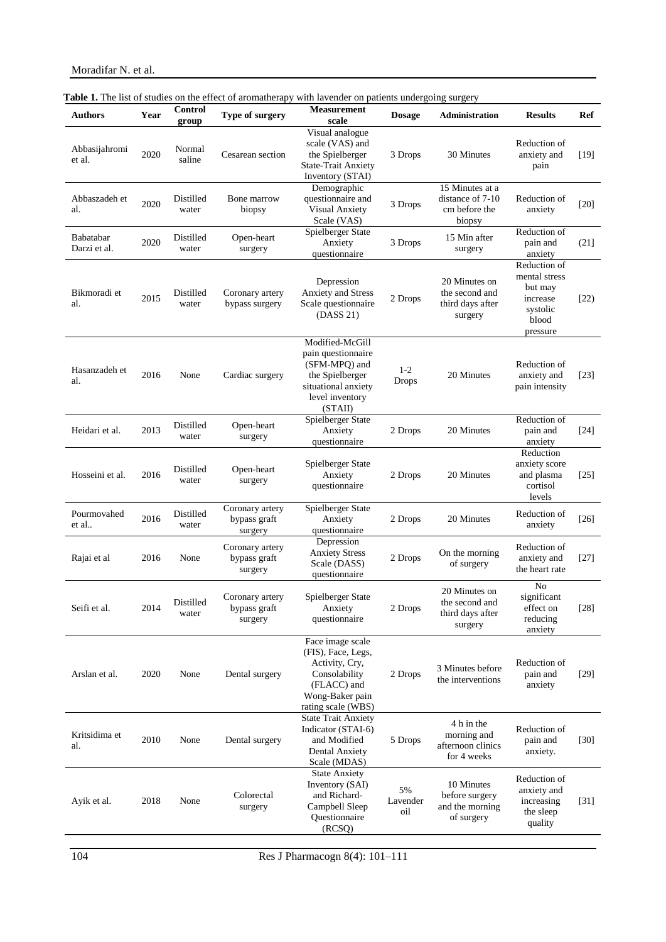| <b>Authors</b>            | Year | Control<br>group   | Type of surgery                            | <b>Measurement</b><br>scale                                                                                                       | <b>Dosage</b>         | Administration                                                 | <b>Results</b>                                                                        | <b>Ref</b> |
|---------------------------|------|--------------------|--------------------------------------------|-----------------------------------------------------------------------------------------------------------------------------------|-----------------------|----------------------------------------------------------------|---------------------------------------------------------------------------------------|------------|
| Abbasijahromi<br>et al.   | 2020 | Normal<br>saline   | Cesarean section                           | Visual analogue<br>scale (VAS) and<br>the Spielberger<br><b>State-Trait Anxiety</b><br>Inventory (STAI)                           | 3 Drops               | 30 Minutes                                                     | Reduction of<br>anxiety and<br>pain                                                   | $[19]$     |
| Abbaszadeh et<br>al.      | 2020 | Distilled<br>water | Bone marrow<br>biopsy                      | Demographic<br>questionnaire and<br>Visual Anxiety<br>Scale (VAS)                                                                 | 3 Drops               | 15 Minutes at a<br>distance of 7-10<br>cm before the<br>biopsy | Reduction of<br>anxiety                                                               | $[20]$     |
| Babatabar<br>Darzi et al. | 2020 | Distilled<br>water | Open-heart<br>surgery                      | Spielberger State<br>Anxiety<br>questionnaire                                                                                     | 3 Drops               | 15 Min after<br>surgery                                        | Reduction of<br>pain and<br>anxiety                                                   | (21]       |
| Bikmoradi et<br>al.       | 2015 | Distilled<br>water | Coronary artery<br>bypass surgery          | Depression<br>Anxiety and Stress<br>Scale questionnaire<br>(DASS 21)                                                              | 2 Drops               | 20 Minutes on<br>the second and<br>third days after<br>surgery | Reduction of<br>mental stress<br>but may<br>increase<br>systolic<br>blood<br>pressure | [22]       |
| Hasanzadeh et<br>al.      | 2016 | None               | Cardiac surgery                            | Modified-McGill<br>pain questionnaire<br>(SFM-MPQ) and<br>the Spielberger<br>situational anxiety<br>level inventory<br>(STAII)    | $1 - 2$<br>Drops      | 20 Minutes                                                     | Reduction of<br>anxiety and<br>pain intensity                                         | $[23]$     |
| Heidari et al.            | 2013 | Distilled<br>water | Open-heart<br>surgery                      | Spielberger State<br>Anxiety<br>questionnaire                                                                                     | 2 Drops               | 20 Minutes                                                     | Reduction of<br>pain and<br>anxiety                                                   | $[24]$     |
| Hosseini et al.           | 2016 | Distilled<br>water | Open-heart<br>surgery                      | Spielberger State<br>Anxiety<br>questionnaire                                                                                     | 2 Drops               | 20 Minutes                                                     | Reduction<br>anxiety score<br>and plasma<br>cortisol<br>levels                        | $[25]$     |
| Pourmovahed<br>et al      | 2016 | Distilled<br>water | Coronary artery<br>bypass graft<br>surgery | Spielberger State<br>Anxiety<br>questionnaire                                                                                     | 2 Drops               | 20 Minutes                                                     | Reduction of<br>anxiety                                                               | $[26]$     |
| Rajai et al               | 2016 | None               | Coronary artery<br>bypass graft<br>surgery | Depression<br><b>Anxiety Stress</b><br>Scale (DASS)<br>questionnaire                                                              | 2 Drops               | On the morning<br>of surgery                                   | Reduction of<br>anxiety and<br>the heart rate                                         | $[27]$     |
| Seifi et al.              | 2014 | Distilled<br>water | Coronary artery<br>bypass graft<br>surgery | Spielberger State<br>Anxiety<br>questionnaire                                                                                     | 2 Drops               | 20 Minutes on<br>the second and<br>third days after<br>surgery | No<br>significant<br>effect on<br>reducing<br>anxiety                                 | $[28]$     |
| Arslan et al.             | 2020 | None               | Dental surgery                             | Face image scale<br>(FIS), Face, Legs,<br>Activity, Cry,<br>Consolability<br>(FLACC) and<br>Wong-Baker pain<br>rating scale (WBS) | 2 Drops               | 3 Minutes before<br>the interventions                          | Reduction of<br>pain and<br>anxiety                                                   | $[29]$     |
| Kritsidima et<br>al.      | 2010 | None               | Dental surgery                             | <b>State Trait Anxiety</b><br>Indicator (STAI-6)<br>and Modified<br><b>Dental Anxiety</b><br>Scale (MDAS)                         | 5 Drops               | 4 h in the<br>morning and<br>afternoon clinics<br>for 4 weeks  | Reduction of<br>pain and<br>anxiety.                                                  | $[30]$     |
| Ayik et al.               | 2018 | None               | Colorectal<br>surgery                      | <b>State Anxiety</b><br>Inventory (SAI)<br>and Richard-<br>Campbell Sleep<br>Questionnaire<br>(RCSQ)                              | 5%<br>Lavender<br>oil | 10 Minutes<br>before surgery<br>and the morning<br>of surgery  | Reduction of<br>anxiety and<br>increasing<br>the sleep<br>quality                     | $[31]$     |

#### **Table 1.** The list of studies on the effect of aromatherapy with lavender on patients undergoing surgery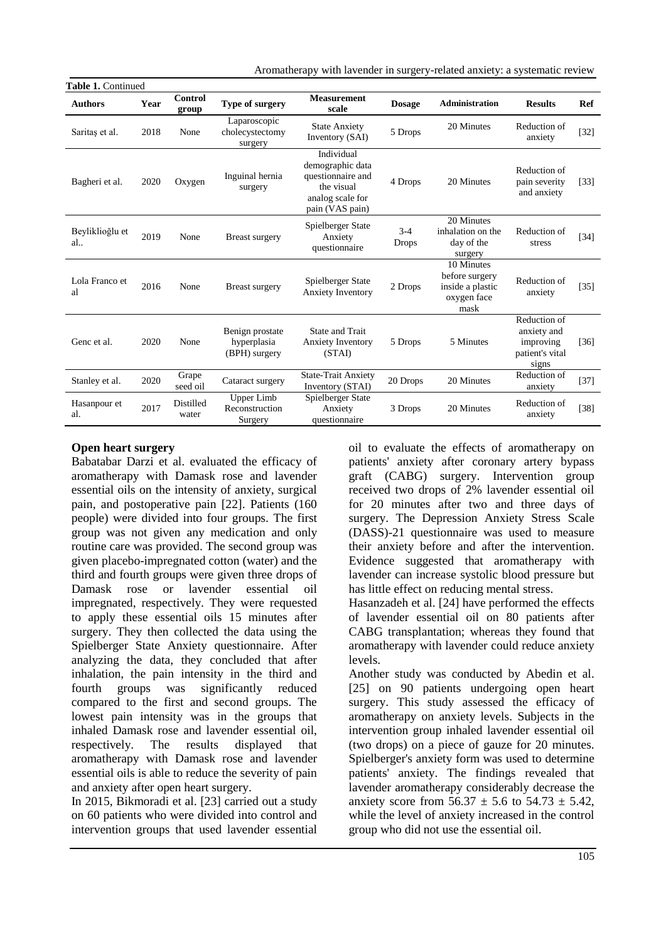Aromatherapy with lavender in surgery-related anxiety: a systematic review

| Table 1. Continued    |      |                           |                                                 |                                                                                                          |                       |                                                                         |                                                                      |        |  |  |  |  |
|-----------------------|------|---------------------------|-------------------------------------------------|----------------------------------------------------------------------------------------------------------|-----------------------|-------------------------------------------------------------------------|----------------------------------------------------------------------|--------|--|--|--|--|
| <b>Authors</b>        | Year | Control<br>group          | Type of surgery                                 | <b>Measurement</b><br>scale                                                                              | <b>Dosage</b>         | <b>Administration</b>                                                   | <b>Results</b>                                                       | Ref    |  |  |  |  |
| Saritas et al.        | 2018 | None                      | Laparoscopic<br>cholecystectomy<br>surgery      | <b>State Anxiety</b><br>Inventory (SAI)                                                                  | 5 Drops               | 20 Minutes                                                              | Reduction of<br>anxiety                                              | $[32]$ |  |  |  |  |
| Bagheri et al.        | 2020 | Oxygen                    | Inguinal hernia<br>surgery                      | Individual<br>demographic data<br>questionnaire and<br>the visual<br>analog scale for<br>pain (VAS pain) | 4 Drops               | 20 Minutes                                                              | Reduction of<br>pain severity<br>and anxiety                         | $[33]$ |  |  |  |  |
| Beyliklioğlu et<br>al | 2019 | None                      | <b>Breast surgery</b>                           | Spielberger State<br>Anxiety<br>questionnaire                                                            | $3-4$<br><b>Drops</b> | 20 Minutes<br>inhalation on the<br>day of the<br>surgery                | Reduction of<br>stress                                               | $[34]$ |  |  |  |  |
| Lola Franco et<br>al  | 2016 | None                      | <b>Breast surgery</b>                           | Spielberger State<br><b>Anxiety Inventory</b>                                                            | 2 Drops               | 10 Minutes<br>before surgery<br>inside a plastic<br>oxygen face<br>mask | Reduction of<br>anxiety                                              | $[35]$ |  |  |  |  |
| Genc et al.           | 2020 | None                      | Benign prostate<br>hyperplasia<br>(BPH) surgery | State and Trait<br><b>Anxiety Inventory</b><br>(STAI)                                                    | 5 Drops               | 5 Minutes                                                               | Reduction of<br>anxiety and<br>improving<br>patient's vital<br>signs | [36]   |  |  |  |  |
| Stanley et al.        | 2020 | Grape<br>seed oil         | Cataract surgery                                | <b>State-Trait Anxiety</b><br>Inventory (STAI)                                                           | 20 Drops              | 20 Minutes                                                              | Reduction of<br>anxiety                                              | $[37]$ |  |  |  |  |
| Hasanpour et<br>al.   | 2017 | <b>Distilled</b><br>water | Upper Limb<br>Reconstruction<br>Surgery         | Spielberger State<br>Anxiety<br>questionnaire                                                            | 3 Drops               | 20 Minutes                                                              | Reduction of<br>anxiety                                              | $[38]$ |  |  |  |  |

#### **Open heart surgery**

Babatabar Darzi et al. evaluated the efficacy of aromatherapy with Damask rose and lavender essential oils on the intensity of anxiety, surgical pain, and postoperative pain [22]. Patients (160 people) were divided into four groups. The first group was not given any medication and only routine care was provided. The second group was given placebo-impregnated cotton (water) and the third and fourth groups were given three drops of Damask rose or lavender essential oil impregnated, respectively. They were requested to apply these essential oils 15 minutes after surgery. They then collected the data using the Spielberger State Anxiety questionnaire. After analyzing the data, they concluded that after inhalation, the pain intensity in the third and fourth groups was significantly reduced compared to the first and second groups. The lowest pain intensity was in the groups that inhaled Damask rose and lavender essential oil, respectively. The results displayed that aromatherapy with Damask rose and lavender essential oils is able to reduce the severity of pain and anxiety after open heart surgery.

In 2015, Bikmoradi et al. [23] carried out a study on 60 patients who were divided into control and intervention groups that used lavender essential oil to evaluate the effects of aromatherapy on patients' anxiety after coronary artery bypass graft (CABG) surgery. Intervention group received two drops of 2% lavender essential oil for 20 minutes after two and three days of surgery. The Depression Anxiety Stress Scale (DASS)-21 questionnaire was used to measure their anxiety before and after the intervention. Evidence suggested that aromatherapy with lavender can increase systolic blood pressure but has little effect on reducing mental stress.

Hasanzadeh et al. [24] have performed the effects of lavender essential oil on 80 patients after CABG transplantation; whereas they found that aromatherapy with lavender could reduce anxiety levels.

Another study was conducted by Abedin et al. [25] on 90 patients undergoing open heart surgery. This study assessed the efficacy of aromatherapy on anxiety levels. Subjects in the intervention group inhaled lavender essential oil (two drops) on a piece of gauze for 20 minutes. Spielberger's anxiety form was used to determine patients' anxiety. The findings revealed that lavender aromatherapy considerably decrease the anxiety score from  $56.37 \pm 5.6$  to  $54.73 \pm 5.42$ , while the level of anxiety increased in the control group who did not use the essential oil.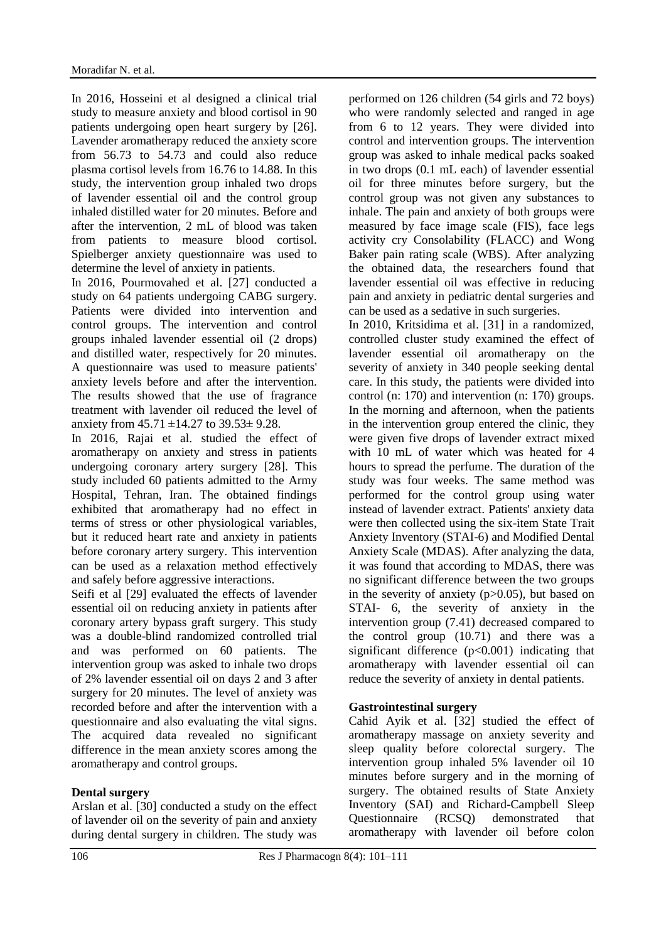In 2016, Hosseini et al designed a clinical trial study to measure anxiety and blood cortisol in 90 patients undergoing open heart surgery by [26]. Lavender aromatherapy reduced the anxiety score from 56.73 to 54.73 and could also reduce plasma cortisol levels from 16.76 to 14.88. In this study, the intervention group inhaled two drops of lavender essential oil and the control group inhaled distilled water for 20 minutes. Before and after the intervention, 2 mL of blood was taken from patients to measure blood cortisol. Spielberger anxiety questionnaire was used to determine the level of anxiety in patients.

In 2016, Pourmovahed et al. [27] conducted a study on 64 patients undergoing CABG surgery. Patients were divided into intervention and control groups. The intervention and control groups inhaled lavender essential oil (2 drops) and distilled water, respectively for 20 minutes. A questionnaire was used to measure patients' anxiety levels before and after the intervention. The results showed that the use of fragrance treatment with lavender oil reduced the level of anxiety from  $45.71 \pm 14.27$  to  $39.53 \pm 9.28$ .

In 2016, Rajai et al. studied the effect of aromatherapy on anxiety and stress in patients undergoing coronary artery surgery [28]. This study included 60 patients admitted to the Army Hospital, Tehran, Iran. The obtained findings exhibited that aromatherapy had no effect in terms of stress or other physiological variables, but it reduced heart rate and anxiety in patients before coronary artery surgery. This intervention can be used as a relaxation method effectively and safely before aggressive interactions.

Seifi et al [29] evaluated the effects of lavender essential oil on reducing anxiety in patients after coronary artery bypass graft surgery. This study was a double-blind randomized controlled trial and was performed on 60 patients. The intervention group was asked to inhale two drops of 2% lavender essential oil on days 2 and 3 after surgery for 20 minutes. The level of anxiety was recorded before and after the intervention with a questionnaire and also evaluating the vital signs. The acquired data revealed no significant difference in the mean anxiety scores among the aromatherapy and control groups.

## **Dental surgery**

Arslan et al. [30] conducted a study on the effect of lavender oil on the severity of pain and anxiety during dental surgery in children. The study was performed on 126 children (54 girls and 72 boys) who were randomly selected and ranged in age from 6 to 12 years. They were divided into control and intervention groups. The intervention group was asked to inhale medical packs soaked in two drops (0.1 mL each) of lavender essential oil for three minutes before surgery, but the control group was not given any substances to inhale. The pain and anxiety of both groups were measured by face image scale (FIS), face legs activity cry Consolability (FLACC) and Wong Baker pain rating scale (WBS). After analyzing the obtained data, the researchers found that lavender essential oil was effective in reducing pain and anxiety in pediatric dental surgeries and can be used as a sedative in such surgeries.

In 2010, Kritsidima et al. [31] in a randomized, controlled cluster study examined the effect of lavender essential oil aromatherapy on the severity of anxiety in 340 people seeking dental care. In this study, the patients were divided into control (n: 170) and intervention (n: 170) groups. In the morning and afternoon, when the patients in the intervention group entered the clinic, they were given five drops of lavender extract mixed with 10 mL of water which was heated for 4 hours to spread the perfume. The duration of the study was four weeks. The same method was performed for the control group using water instead of lavender extract. Patients' anxiety data were then collected using the six-item State Trait Anxiety Inventory (STAI-6) and Modified Dental Anxiety Scale (MDAS). After analyzing the data, it was found that according to MDAS, there was no significant difference between the two groups in the severity of anxiety  $(p>0.05)$ , but based on STAI- 6, the severity of anxiety in the intervention group (7.41) decreased compared to the control group (10.71) and there was a significant difference (p<0.001) indicating that aromatherapy with lavender essential oil can reduce the severity of anxiety in dental patients.

#### **Gastrointestinal surgery**

Cahid Ayik et al. [32] studied the effect of aromatherapy massage on anxiety severity and sleep quality before colorectal surgery. The intervention group inhaled 5% lavender oil 10 minutes before surgery and in the morning of surgery. The obtained results of State Anxiety Inventory (SAI) and Richard-Campbell Sleep Questionnaire (RCSQ) demonstrated that aromatherapy with lavender oil before colon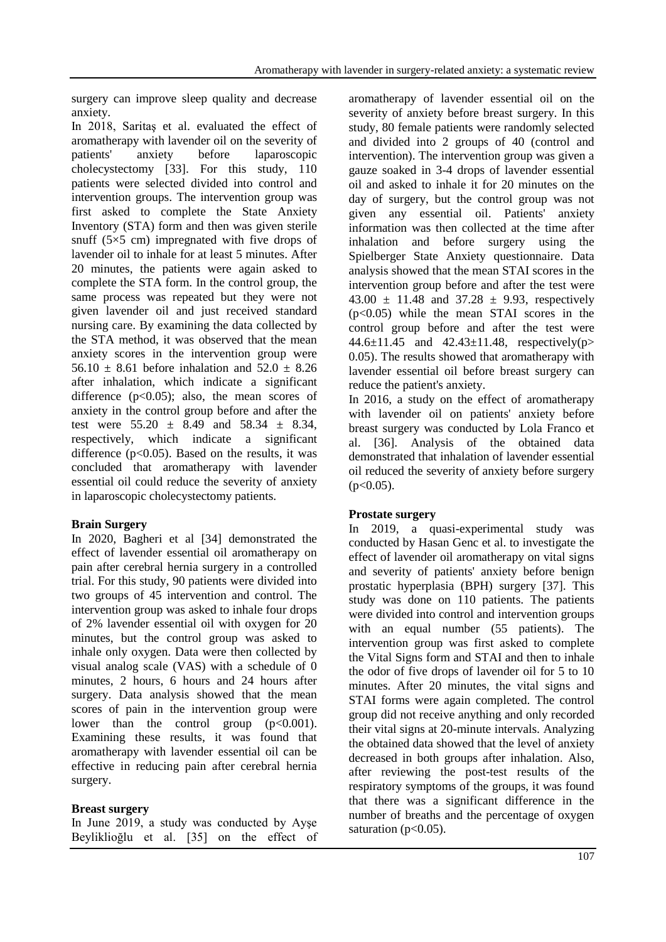surgery can improve sleep quality and decrease anxiety.

In 2018, Saritaş et al. evaluated the effect of aromatherapy with lavender oil on the severity of<br>patients' anxiety before lanaroscopic patients' anxiety before laparoscopic cholecystectomy [33]. For this study, 110 patients were selected divided into control and intervention groups. The intervention group was first asked to complete the State Anxiety Inventory (STA) form and then was given sterile snuff ( $5\times5$  cm) impregnated with five drops of lavender oil to inhale for at least 5 minutes. After 20 minutes, the patients were again asked to complete the STA form. In the control group, the same process was repeated but they were not given lavender oil and just received standard nursing care. By examining the data collected by the STA method, it was observed that the mean anxiety scores in the intervention group were 56.10  $\pm$  8.61 before inhalation and 52.0  $\pm$  8.26 after inhalation, which indicate a significant difference  $(p<0.05)$ ; also, the mean scores of anxiety in the control group before and after the test were  $55.20 \pm 8.49$  and  $58.34 \pm 8.34$ , respectively, which indicate a significant difference  $(p<0.05)$ . Based on the results, it was concluded that aromatherapy with lavender essential oil could reduce the severity of anxiety in laparoscopic cholecystectomy patients.

#### **Brain Surgery**

In 2020, Bagheri et al [34] demonstrated the effect of lavender essential oil aromatherapy on pain after cerebral hernia surgery in a controlled trial. For this study, 90 patients were divided into two groups of 45 intervention and control. The intervention group was asked to inhale four drops of 2% lavender essential oil with oxygen for 20 minutes, but the control group was asked to inhale only oxygen. Data were then collected by visual analog scale (VAS) with a schedule of 0 minutes, 2 hours, 6 hours and 24 hours after surgery. Data analysis showed that the mean scores of pain in the intervention group were lower than the control group  $(p<0.001)$ . Examining these results, it was found that aromatherapy with lavender essential oil can be effective in reducing pain after cerebral hernia surgery.

#### **Breast surgery**

In June 2019, a study was conducted by Ayşe Beyliklioğlu et al. [35] on the effect of aromatherapy of lavender essential oil on the severity of anxiety before breast surgery. In this study, 80 female patients were randomly selected and divided into 2 groups of 40 (control and intervention). The intervention group was given a gauze soaked in 3-4 drops of lavender essential oil and asked to inhale it for 20 minutes on the day of surgery, but the control group was not given any essential oil. Patients' anxiety information was then collected at the time after inhalation and before surgery using the Spielberger State Anxiety questionnaire. Data analysis showed that the mean STAI scores in the intervention group before and after the test were 43.00  $\pm$  11.48 and 37.28  $\pm$  9.93, respectively  $(p<0.05)$  while the mean STAI scores in the control group before and after the test were 44.6±11.45 and 42.43±11.48, respectively(p> 0.05). The results showed that aromatherapy with lavender essential oil before breast surgery can reduce the patient's anxiety.

In 2016, a study on the effect of aromatherapy with lavender oil on patients' anxiety before breast surgery was conducted by Lola Franco et al. [36]. Analysis of the obtained data demonstrated that inhalation of lavender essential oil reduced the severity of anxiety before surgery  $(p<0.05)$ .

#### **Prostate surgery**

In 2019, a quasi-experimental study was conducted by Hasan Genc et al. to investigate the effect of lavender oil aromatherapy on vital signs and severity of patients' anxiety before benign prostatic hyperplasia (BPH) surgery [37]. This study was done on 110 patients. The patients were divided into control and intervention groups with an equal number (55 patients). The intervention group was first asked to complete the Vital Signs form and STAI and then to inhale the odor of five drops of lavender oil for 5 to 10 minutes. After 20 minutes, the vital signs and STAI forms were again completed. The control group did not receive anything and only recorded their vital signs at 20-minute intervals. Analyzing the obtained data showed that the level of anxiety decreased in both groups after inhalation. Also, after reviewing the post-test results of the respiratory symptoms of the groups, it was found that there was a significant difference in the number of breaths and the percentage of oxygen saturation ( $p<0.05$ ).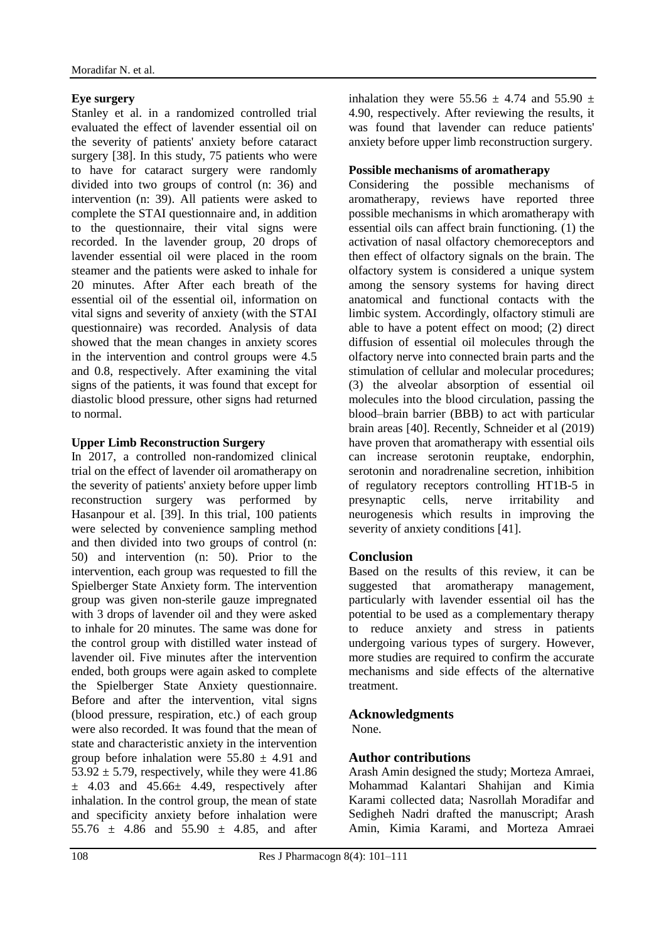### **Eye surgery**

Stanley et al. in a randomized controlled trial evaluated the effect of lavender essential oil on the severity of patients' anxiety before cataract surgery [38]. In this study, 75 patients who were to have for cataract surgery were randomly divided into two groups of control (n: 36) and intervention (n: 39). All patients were asked to complete the STAI questionnaire and, in addition to the questionnaire, their vital signs were recorded. In the lavender group, 20 drops of lavender essential oil were placed in the room steamer and the patients were asked to inhale for 20 minutes. After After each breath of the essential oil of the essential oil, information on vital signs and severity of anxiety (with the STAI questionnaire) was recorded. Analysis of data showed that the mean changes in anxiety scores in the intervention and control groups were 4.5 and 0.8, respectively. After examining the vital signs of the patients, it was found that except for diastolic blood pressure, other signs had returned to normal.

## **Upper Limb Reconstruction Surgery**

In 2017, a controlled non-randomized clinical trial on the effect of lavender oil aromatherapy on the severity of patients' anxiety before upper limb reconstruction surgery was performed by Hasanpour et al. [39]. In this trial, 100 patients were selected by convenience sampling method and then divided into two groups of control (n: 50) and intervention (n: 50). Prior to the intervention, each group was requested to fill the Spielberger State Anxiety form. The intervention group was given non-sterile gauze impregnated with 3 drops of lavender oil and they were asked to inhale for 20 minutes. The same was done for the control group with distilled water instead of lavender oil. Five minutes after the intervention ended, both groups were again asked to complete the Spielberger State Anxiety questionnaire. Before and after the intervention, vital signs (blood pressure, respiration, etc.) of each group were also recorded. It was found that the mean of state and characteristic anxiety in the intervention group before inhalation were  $55.80 \pm 4.91$  and  $53.92 \pm 5.79$ , respectively, while they were 41.86  $\pm$  4.03 and 45.66 $\pm$  4.49, respectively after inhalation. In the control group, the mean of state and specificity anxiety before inhalation were  $55.76 + 4.86$  and  $55.90 + 4.85$  and after inhalation they were  $55.56 \pm 4.74$  and  $55.90 \pm 1.74$ 4.90, respectively. After reviewing the results, it was found that lavender can reduce patients' anxiety before upper limb reconstruction surgery.

### **Possible mechanisms of aromatherapy**

Considering the possible mechanisms of aromatherapy, reviews have reported three possible mechanisms in which aromatherapy with essential oils can affect brain functioning. (1) the activation of nasal olfactory chemoreceptors and then effect of olfactory signals on the brain. The olfactory system is considered a unique system among the sensory systems for having direct anatomical and functional contacts with the limbic system. Accordingly, olfactory stimuli are able to have a potent effect on mood; (2) direct diffusion of essential oil molecules through the olfactory nerve into connected brain parts and the stimulation of cellular and molecular procedures; (3) the alveolar absorption of essential oil molecules into the blood circulation, passing the blood–brain barrier (BBB) to act with particular brain areas [40]. Recently, Schneider et al (2019) have proven that aromatherapy with essential oils can increase serotonin reuptake, endorphin, serotonin and noradrenaline secretion, inhibition of regulatory receptors controlling HT1B-5 in presynaptic cells, nerve irritability and neurogenesis which results in improving the severity of anxiety conditions [41].

## **Conclusion**

Based on the results of this review, it can be suggested that aromatherapy management, particularly with lavender essential oil has the potential to be used as a complementary therapy to reduce anxiety and stress in patients undergoing various types of surgery. However, more studies are required to confirm the accurate mechanisms and side effects of the alternative treatment.

## **Acknowledgments**

None.

## **Author contributions**

Arash Amin designed the study; Morteza Amraei, Mohammad Kalantari Shahijan and Kimia Karami collected data; Nasrollah Moradifar and Sedigheh Nadri drafted the manuscript; Arash Amin, Kimia Karami, and Morteza Amraei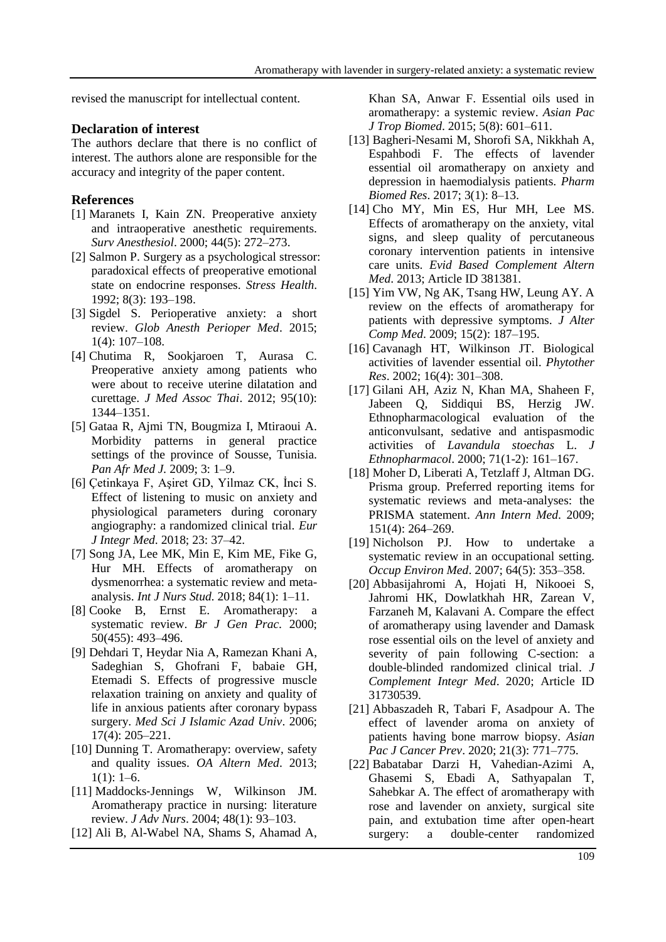revised the manuscript for intellectual content.

## **Declaration of interest**

The authors declare that there is no conflict of interest. The authors alone are responsible for the accuracy and integrity of the paper content.

## **References**

- [1] Maranets I, Kain ZN. Preoperative anxiety and intraoperative anesthetic requirements. *Surv Anesthesiol*. 2000; 44(5): 272–273.
- [2] Salmon P. Surgery as a psychological stressor: paradoxical effects of preoperative emotional state on endocrine responses. *Stress Health*. 1992; 8(3): 193–198.
- [3] Sigdel S. Perioperative anxiety: a short review. *Glob Anesth Perioper Med*. 2015; 1(4): 107–108.
- [4] Chutima R, Sookjaroen T, Aurasa C. Preoperative anxiety among patients who were about to receive uterine dilatation and curettage. *J Med Assoc Thai*. 2012; 95(10): 1344–1351.
- [5] Gataa R, Ajmi TN, Bougmiza I, Mtiraoui A. Morbidity patterns in general practice settings of the province of Sousse, Tunisia. *Pan Afr Med J.* 2009; 3: 1–9.
- [6] Çetinkaya F, Aşiret GD, Yilmaz CK, İnci S. Effect of listening to music on anxiety and physiological parameters during coronary angiography: a randomized clinical trial. *Eur J Integr Med*. 2018; 23: 37–42.
- [7] Song JA, Lee MK, Min E, Kim ME, Fike G, Hur MH. Effects of aromatherapy on dysmenorrhea: a systematic review and metaanalysis. *Int J Nurs Stud.* 2018; 84(1): 1–11.
- [8] Cooke B, Ernst E. Aromatherapy: a systematic review. *Br J Gen Prac*. 2000; 50(455): 493–496.
- [9] Dehdari T, Heydar Nia A, Ramezan Khani A, Sadeghian S, Ghofrani F, babaie GH, [Etemadi](http://tmuj.iautmu.ac.ir/search.php?sid=1&slc_lang=en&auth=Etemadi) S. Effects of progressive muscle relaxation training on anxiety and quality of life in anxious patients after coronary bypass surgery. *Med Sci J Islamic Azad Univ*. 2006; 17(4): 205–221.
- [10] Dunning T. Aromatherapy: overview, safety and quality issues. *OA Altern Med*. 2013;  $1(1): 1-6.$
- [11] Maddocks-Jennings W, Wilkinson JM. Aromatherapy practice in nursing: literature review. *J Adv Nurs*. 2004; 48(1): 93–103.
- [12] Ali B, Al-Wabel NA, Shams S, Ahamad A,

Khan SA, Anwar F. Essential oils used in aromatherapy: a systemic review. *Asian Pac J Trop Biomed*. 2015; 5(8): 601–611.

- [13] Bagheri-Nesami M, Shorofi SA, Nikkhah A, Espahbodi F. The effects of lavender essential oil aromatherapy on anxiety and depression in haemodialysis patients. *Pharm Biomed Res*. 2017; 3(1): 8–13.
- [14] Cho MY, Min ES, Hur MH, Lee MS. Effects of aromatherapy on the anxiety, vital signs, and sleep quality of percutaneous coronary intervention patients in intensive care units. *Evid Based Complement Altern Med*. 2013; Article ID 381381.
- [15] Yim VW, Ng AK, Tsang HW, Leung AY. A review on the effects of aromatherapy for patients with depressive symptoms. *J Alter Comp Med*. 2009; 15(2): 187–195.
- [16] Cavanagh HT, Wilkinson JT. Biological activities of lavender essential oil. *Phytother Res*. 2002; 16(4): 301–308.
- [17] Gilani AH, Aziz N, Khan MA, Shaheen F, Jabeen Q, Siddiqui BS, Herzig JW. Ethnopharmacological evaluation of the anticonvulsant, sedative and antispasmodic activities of *Lavandula stoechas* L. *J Ethnopharmacol*. 2000; 71(1-2): 161–167.
- [18] Moher D, Liberati A, Tetzlaff J, Altman DG. Prisma group. Preferred reporting items for systematic reviews and meta-analyses: the PRISMA statement. *Ann Intern Med*. 2009; 151(4): 264–269.
- [19] Nicholson PJ. How to undertake a systematic review in an occupational setting. *Occup Environ Med*. 2007; 64(5): 353–358.
- [20] Abbasijahromi A, Hojati H, Nikooei S, Jahromi HK, Dowlatkhah HR, Zarean V[,](https://pubmed.ncbi.nlm.nih.gov/?term=Farzaneh+M&cauthor_id=31730539) [Farzaneh](https://pubmed.ncbi.nlm.nih.gov/?term=Farzaneh+M&cauthor_id=31730539) M, [Kalavani](https://pubmed.ncbi.nlm.nih.gov/?term=Kalavani+A&cauthor_id=31730539) A. Compare the effect of aromatherapy using lavender and Damask rose essential oils on the level of anxiety and severity of pain following C-section: a double-blinded randomized clinical trial. *J Complement Integr Med*. 2020; Article ID 31730539.
- [21] Abbaszadeh R, Tabari F, Asadpour A. The effect of lavender aroma on anxiety of patients having bone marrow biopsy. *Asian Pac J Cancer Prev*. 2020; 21(3): 771–775.
- [22] Babatabar Darzi H, Vahedian-Azimi A, Ghasemi S, Ebadi A, Sathyapalan T, Sahebkar A. The effect of aromatherapy with rose and lavender on anxiety, surgical site pain, and extubation time after open-heart surgery: a double-center randomized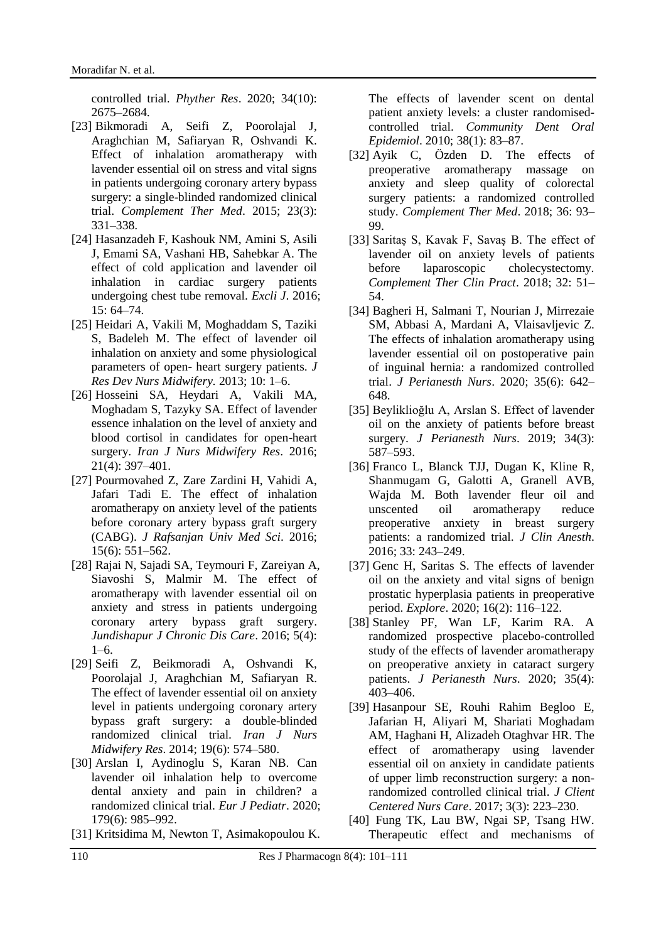controlled trial. *Phyther Res*. 2020; 34(10): 2675–2684.

- [23] Bikmoradi A, Seifi Z, Poorolajal J, Araghchian M, Safiaryan R, Oshvandi K. Effect of inhalation aromatherapy with lavender essential oil on stress and vital signs in patients undergoing coronary artery bypass surgery: a single-blinded randomized clinical trial. *Complement Ther Med*. 2015; 23(3): 331–338.
- [24] Hasanzadeh F, Kashouk NM, Amini S, Asili J, Emami SA, Vashani HB, [Sahebkar](https://www.ncbi.nlm.nih.gov/pubmed/?term=Sahebkar%20A%5BAuthor%5D&cauthor=true&cauthor_uid=27047319) A. The effect of cold application and lavender oil inhalation in cardiac surgery patients undergoing chest tube removal. *Excli J*. 2016; 15: 64–74.
- [25] Heidari A, Vakili M, Moghaddam S, Taziki S, Badeleh M. The effect of lavender oil inhalation on anxiety and some physiological parameters of open- heart surgery patients. *J Res Dev Nurs Midwifery.* 2013; 10: 1–6.
- [26] Hosseini SA, Heydari A, Vakili MA, Moghadam S, Tazyky SA. Effect of lavender essence inhalation on the level of anxiety and blood cortisol in candidates for open-heart surgery. *Iran J Nurs Midwifery Res*. 2016; 21(4): 397–401.
- [27] Pourmovahed Z, Zare Zardini H, Vahidi A, Jafari Tadi E. The effect of inhalation aromatherapy on anxiety level of the patients before coronary artery bypass graft surgery (CABG). *J Rafsanjan Univ Med Sci*. 2016; 15(6): 551–562.
- [28] Rajai N, Sajadi SA, Teymouri F, Zareiyan A, Siavoshi S, Malmir M. The effect of aromatherapy with lavender essential oil on anxiety and stress in patients undergoing coronary artery bypass graft surgery. *Jundishapur J Chronic Dis Care*. 2016; 5(4): 1–6.
- [29] Seifi Z, Beikmoradi A, Oshvandi K, Poorolajal J, Araghchian M, Safiaryan R. The effect of lavender essential oil on anxiety level in patients undergoing coronary artery bypass graft surgery: a double-blinded randomized clinical trial. *Iran J Nurs Midwifery Res*. 2014; 19(6): 574–580.
- [30] Arslan I, Aydinoglu S, Karan NB. Can lavender oil inhalation help to overcome dental anxiety and pain in children? a randomized clinical trial. *Eur J Pediatr*. 2020; 179(6): 985–992.
- [31] Kritsidima M, Newton T, Asimakopoulou K.

The effects of lavender scent on dental patient anxiety levels: a cluster randomisedcontrolled trial. *Community Dent Oral Epidemiol*. 2010; 38(1): 83–87.

- [32] Ayik C, Özden D. The effects of preoperative aromatherapy massage on anxiety and sleep quality of colorectal surgery patients: a randomized controlled study. *Complement Ther Med*. 2018; 36: 93– 99.
- [33] Saritaş S, Kavak F, Savaş B. The effect of lavender oil on anxiety levels of patients before laparoscopic cholecystectomy. *Complement Ther Clin Pract*. 2018; 32: 51– 54.
- [34] Bagheri H, Salmani T, Nourian J, Mirrezaie SM, Abbasi A, Mardani A, [Vlaisavljevic](https://pubmed.ncbi.nlm.nih.gov/?term=Vlaisavljevic+Z&cauthor_id=32709507) Z. The effects of inhalation aromatherapy using lavender essential oil on postoperative pain of inguinal hernia: a randomized controlled trial. *J Perianesth Nurs*. 2020; 35(6): 642– 648.
- [35] Beyliklioğlu A, Arslan S. Effect of lavender oil on the anxiety of patients before breast surgery. *J Perianesth Nurs*. 2019; 34(3): 587–593.
- [36] Franco L, Blanck TJJ, Dugan K, Kline R, Shanmugam G, Galotti A, [Granell](https://pubmed.ncbi.nlm.nih.gov/?term=von+Bergen+Granell+A&cauthor_id=27555173) AVB, [Wajda](https://pubmed.ncbi.nlm.nih.gov/?term=Wajda+M&cauthor_id=27555173) M. Both lavender fleur oil and unscented oil aromatherapy reduce preoperative anxiety in breast surgery patients: a randomized trial. *J Clin Anesth*. 2016; 33: 243–249.
- [37] Genc H, Saritas S. The effects of lavender oil on the anxiety and vital signs of benign prostatic hyperplasia patients in preoperative period. *Explore*. 2020; 16(2): 116–122.
- [38] Stanley PF, Wan LF, Karim RA. A randomized prospective placebo-controlled study of the effects of lavender aromatherapy on preoperative anxiety in cataract surgery patients. *J Perianesth Nurs*. 2020; 35(4): 403–406.
- [39] Hasanpour SE, Rouhi Rahim Begloo E, Jafarian H, Aliyari M, Shariati Moghadam AM, Haghani H, [Alizadeh Otaghvar](http://jccnc.iums.ac.ir/search.php?sid=1&slc_lang=en&auth=Alizadeh+Otaghvar) HR. The effect of aromatherapy using lavender essential oil on anxiety in candidate patients of upper limb reconstruction surgery: a nonrandomized controlled clinical trial. *J Client Centered Nurs Care*. 2017; 3(3): 223–230.
- [40] Fung TK, Lau BW, Ngai SP, Tsang HW. Therapeutic effect and mechanisms of